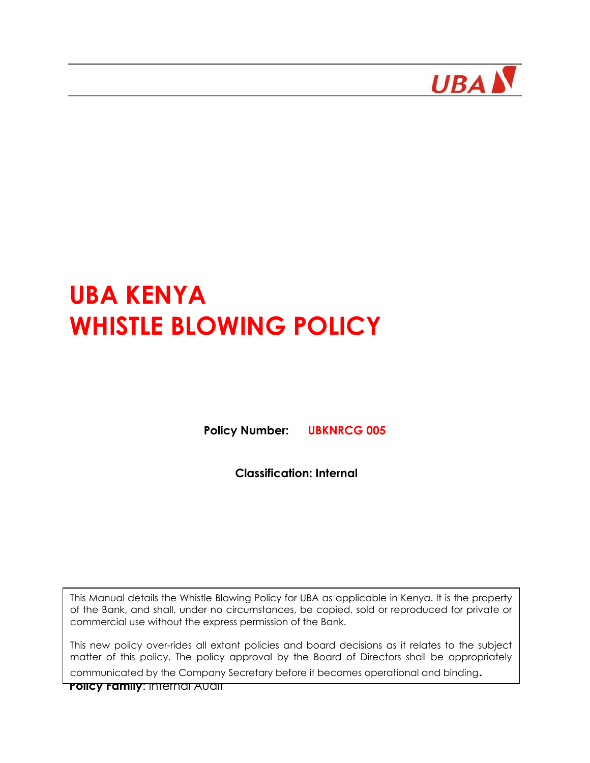

# **UBA KENYA WHISTLE BLOWING POLICY**

**Policy Number: UBKNRCG 005**

**Classification: Internal**

This Manual details the Whistle Blowing Policy for UBA as applicable in Kenya. It is the property of the Bank, and shall, under no circumstances, be copied, sold or reproduced for private or commercial use without the express permission of the Bank.

This new policy over-rides all extant policies and board decisions as it relates to the subject matter of this policy. The policy approval by the Board of Directors shall be appropriately

communicated by the Company Secretary before it becomes operational and binding.

**Policy Family**: Internal Audit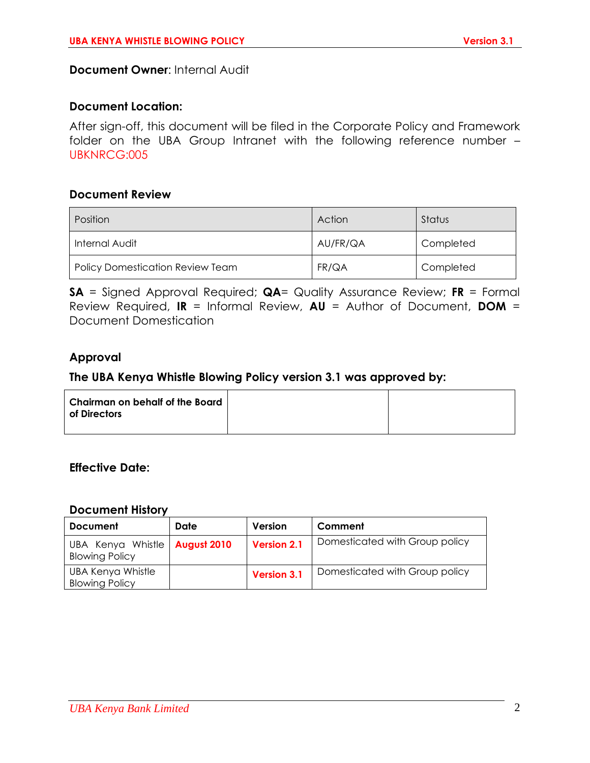**Document Owner**: Internal Audit

#### **Document Location:**

After sign-off, this document will be filed in the Corporate Policy and Framework folder on the UBA Group Intranet with the following reference number – UBKNRCG:005

#### **Document Review**

| Position                                | Action   | Status    |
|-----------------------------------------|----------|-----------|
| Internal Audit                          | AU/FR/QA | Completed |
| <b>Policy Domestication Review Team</b> | FR/QA    | Completed |

**SA** = Signed Approval Required; **QA**= Quality Assurance Review; **FR** = Formal Review Required, **IR** = Informal Review, **AU** = Author of Document, **DOM** = Document Domestication

## **Approval**

## **The UBA Kenya Whistle Blowing Policy version 3.1 was approved by:**

| <b>Chairman on behalf of the Board</b><br>of Directors |  |
|--------------------------------------------------------|--|
|                                                        |  |
|                                                        |  |

#### **Effective Date:**

#### **Document History**

| <b>Document</b>                                          | Date | Version            | Comment                        |
|----------------------------------------------------------|------|--------------------|--------------------------------|
| UBA Kenya Whistle   August 2010<br><b>Blowing Policy</b> |      | <b>Version 2.1</b> | Domesticated with Group policy |
| UBA Kenya Whistle<br><b>Blowing Policy</b>               |      | <b>Version 3.1</b> | Domesticated with Group policy |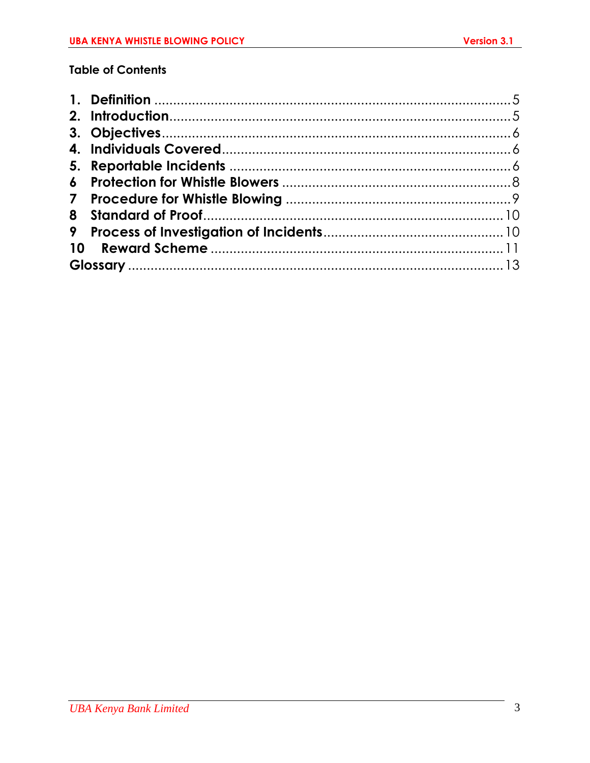# **Table of Contents**

| 8         |  |
|-----------|--|
| 9         |  |
| <b>10</b> |  |
|           |  |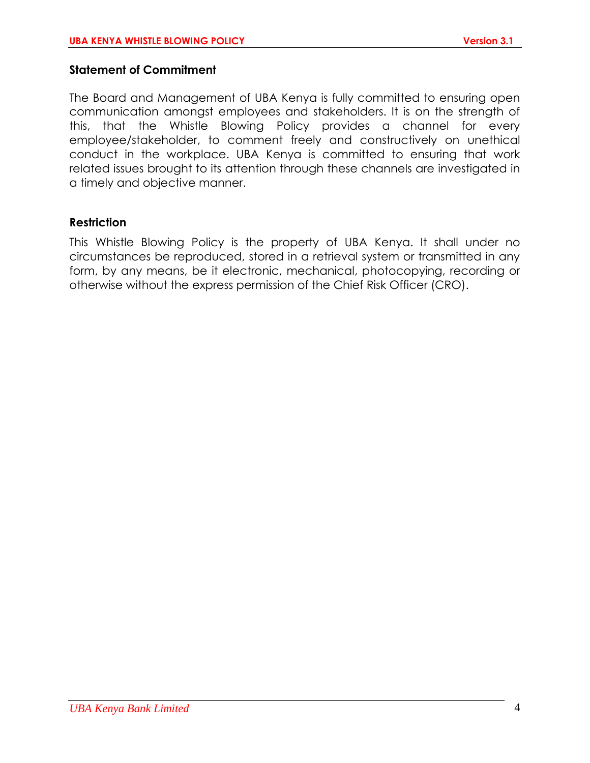## **Statement of Commitment**

The Board and Management of UBA Kenya is fully committed to ensuring open communication amongst employees and stakeholders. It is on the strength of this, that the Whistle Blowing Policy provides a channel for every employee/stakeholder, to comment freely and constructively on unethical conduct in the workplace. UBA Kenya is committed to ensuring that work related issues brought to its attention through these channels are investigated in a timely and objective manner.

## **Restriction**

This Whistle Blowing Policy is the property of UBA Kenya. It shall under no circumstances be reproduced, stored in a retrieval system or transmitted in any form, by any means, be it electronic, mechanical, photocopying, recording or otherwise without the express permission of the Chief Risk Officer (CRO).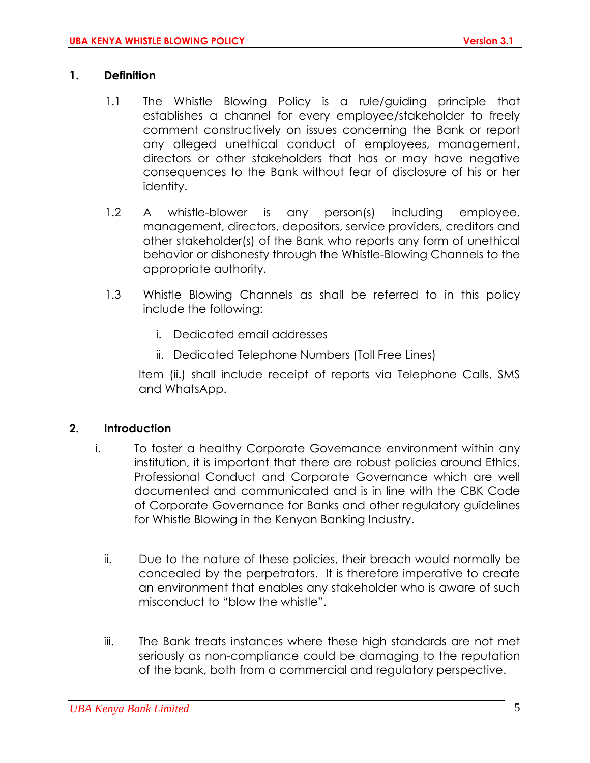#### <span id="page-4-0"></span>**1. Definition**

- 1.1 The Whistle Blowing Policy is a rule/guiding principle that establishes a channel for every employee/stakeholder to freely comment constructively on issues concerning the Bank or report any alleged unethical conduct of employees, management, directors or other stakeholders that has or may have negative consequences to the Bank without fear of disclosure of his or her identity.
- 1.2 A whistle-blower is any person(s) including employee, management, directors, depositors, service providers, creditors and other stakeholder(s) of the Bank who reports any form of unethical behavior or dishonesty through the Whistle-Blowing Channels to the appropriate authority.
- 1.3 Whistle Blowing Channels as shall be referred to in this policy include the following:
	- i. Dedicated email addresses
	- ii. Dedicated Telephone Numbers (Toll Free Lines)

Item (ii.) shall include receipt of reports via Telephone Calls, SMS and WhatsApp.

## <span id="page-4-1"></span>**2. Introduction**

- i. To foster a healthy Corporate Governance environment within any institution, it is important that there are robust policies around Ethics, Professional Conduct and Corporate Governance which are well documented and communicated and is in line with the CBK Code of Corporate Governance for Banks and other regulatory guidelines for Whistle Blowing in the Kenyan Banking Industry.
	- ii. Due to the nature of these policies, their breach would normally be concealed by the perpetrators. It is therefore imperative to create an environment that enables any stakeholder who is aware of such misconduct to "blow the whistle".
	- iii. The Bank treats instances where these high standards are not met seriously as non-compliance could be damaging to the reputation of the bank, both from a commercial and regulatory perspective.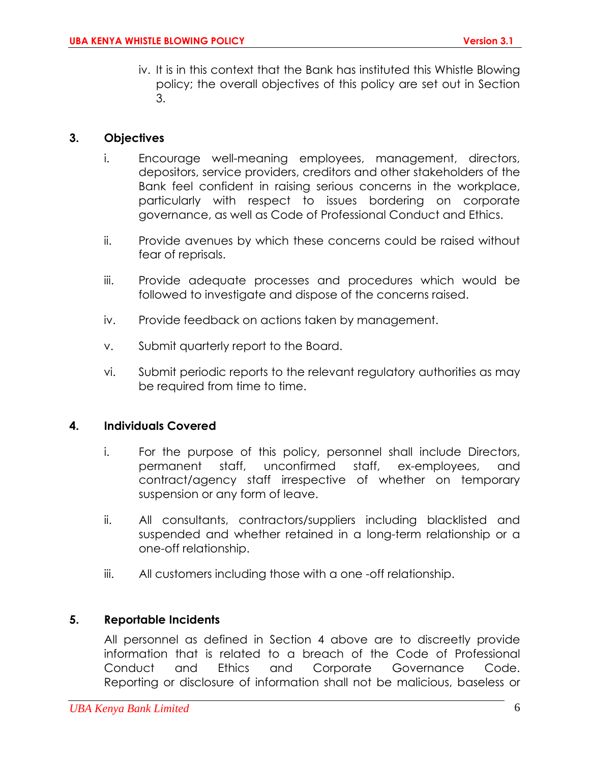iv. It is in this context that the Bank has instituted this Whistle Blowing policy; the overall objectives of this policy are set out in Section 3.

## <span id="page-5-0"></span>**3. Objectives**

- i. Encourage well-meaning employees, management, directors, depositors, service providers, creditors and other stakeholders of the Bank feel confident in raising serious concerns in the workplace, particularly with respect to issues bordering on corporate governance, as well as Code of Professional Conduct and Ethics.
- ii. Provide avenues by which these concerns could be raised without fear of reprisals.
- iii. Provide adequate processes and procedures which would be followed to investigate and dispose of the concerns raised.
- iv. Provide feedback on actions taken by management.
- v. Submit quarterly report to the Board.
- vi. Submit periodic reports to the relevant regulatory authorities as may be required from time to time.

#### <span id="page-5-1"></span>**4. Individuals Covered**

- i. For the purpose of this policy, personnel shall include Directors, permanent staff, unconfirmed staff, ex-employees, and contract/agency staff irrespective of whether on temporary suspension or any form of leave.
- ii. All consultants, contractors/suppliers including blacklisted and suspended and whether retained in a long-term relationship or a one-off relationship.
- iii. All customers including those with a one -off relationship.

## <span id="page-5-2"></span>**5. Reportable Incidents**

All personnel as defined in Section 4 above are to discreetly provide information that is related to a breach of the Code of Professional Conduct and Ethics and Corporate Governance Code. Reporting or disclosure of information shall not be malicious, baseless or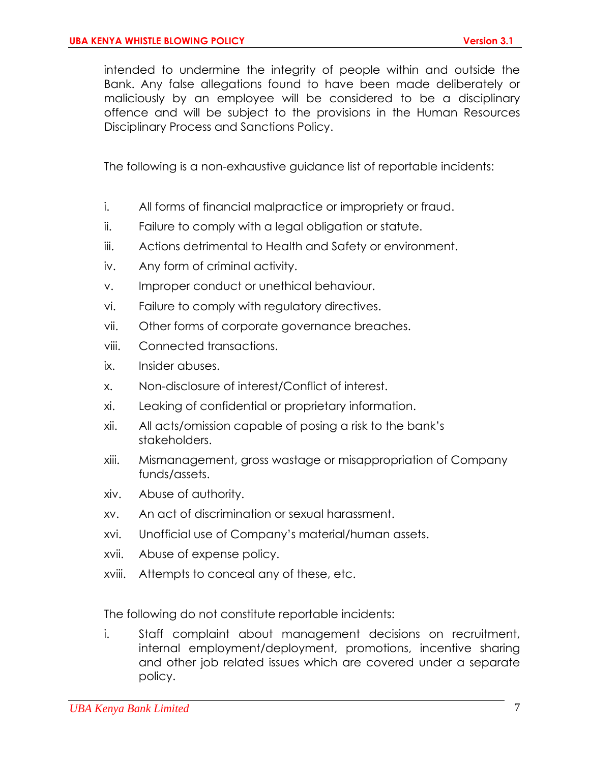intended to undermine the integrity of people within and outside the Bank. Any false allegations found to have been made deliberately or maliciously by an employee will be considered to be a disciplinary offence and will be subject to the provisions in the Human Resources Disciplinary Process and Sanctions Policy.

The following is a non-exhaustive guidance list of reportable incidents:

- i. All forms of financial malpractice or impropriety or fraud.
- ii. Failure to comply with a legal obligation or statute.
- iii. Actions detrimental to Health and Safety or environment.
- iv. Any form of criminal activity.
- v. Improper conduct or unethical behaviour.
- vi. Failure to comply with regulatory directives.
- vii. Other forms of corporate governance breaches.
- viii. Connected transactions.
- ix. Insider abuses.
- x. Non-disclosure of interest/Conflict of interest.
- xi. Leaking of confidential or proprietary information.
- xii. All acts/omission capable of posing a risk to the bank's stakeholders.
- xiii. Mismanagement, gross wastage or misappropriation of Company funds/assets.
- xiv. Abuse of authority.
- xv. An act of discrimination or sexual harassment.
- xvi. Unofficial use of Company's material/human assets.
- xvii. Abuse of expense policy.
- xviii. Attempts to conceal any of these, etc.

The following do not constitute reportable incidents:

i. Staff complaint about management decisions on recruitment, internal employment/deployment, promotions, incentive sharing and other job related issues which are covered under a separate policy.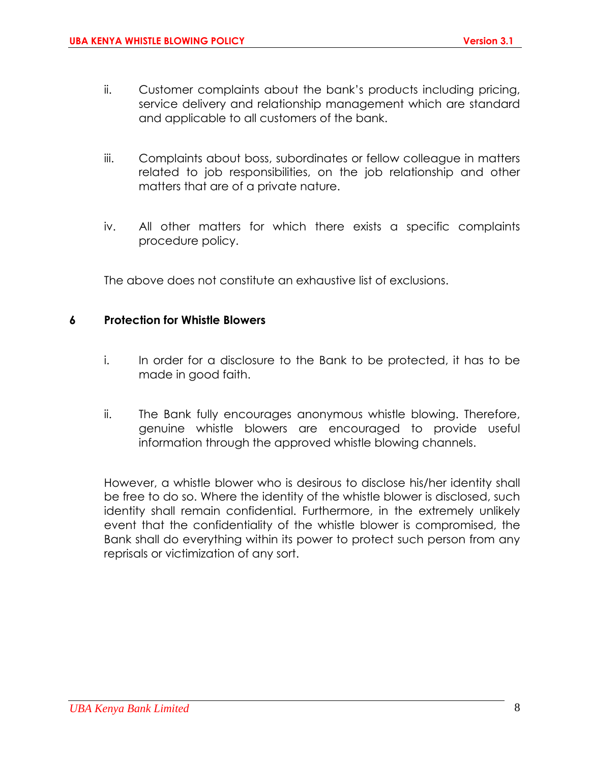- ii. Customer complaints about the bank's products including pricing, service delivery and relationship management which are standard and applicable to all customers of the bank.
- iii. Complaints about boss, subordinates or fellow colleague in matters related to job responsibilities, on the job relationship and other matters that are of a private nature.
- iv. All other matters for which there exists a specific complaints procedure policy.

The above does not constitute an exhaustive list of exclusions.

#### <span id="page-7-0"></span>**6 Protection for Whistle Blowers**

- i. In order for a disclosure to the Bank to be protected, it has to be made in good faith.
- ii. The Bank fully encourages anonymous whistle blowing. Therefore, genuine whistle blowers are encouraged to provide useful information through the approved whistle blowing channels.

However, a whistle blower who is desirous to disclose his/her identity shall be free to do so. Where the identity of the whistle blower is disclosed, such identity shall remain confidential. Furthermore, in the extremely unlikely event that the confidentiality of the whistle blower is compromised, the Bank shall do everything within its power to protect such person from any reprisals or victimization of any sort.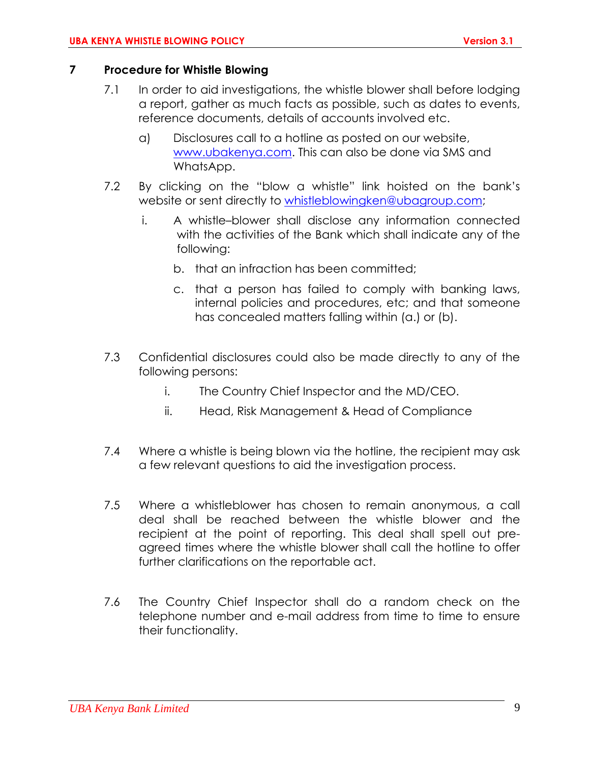## <span id="page-8-0"></span>**7 Procedure for Whistle Blowing**

- 7.1 In order to aid investigations, the whistle blower shall before lodging a report, gather as much facts as possible, such as dates to events, reference documents, details of accounts involved etc.
	- a) Disclosures call to a hotline as posted on our website, [www.ubakenya.com.](http://www.ubakenya.com/) This can also be done via SMS and WhatsApp.
- 7.2 By clicking on the "blow a whistle" link hoisted on the bank's website or sent directly to [whistleblowingken@ubagroup.com;](mailto:whistleblowingken@ubagroup.com)
	- i. A whistle–blower shall disclose any information connected with the activities of the Bank which shall indicate any of the following:
		- b. that an infraction has been committed;
		- c. that a person has failed to comply with banking laws, internal policies and procedures, etc; and that someone has concealed matters falling within (a.) or (b).
- 7.3 Confidential disclosures could also be made directly to any of the following persons:
	- i. The Country Chief Inspector and the MD/CEO.
	- ii. Head, Risk Management & Head of Compliance
- 7.4 Where a whistle is being blown via the hotline, the recipient may ask a few relevant questions to aid the investigation process.
- 7.5 Where a whistleblower has chosen to remain anonymous, a call deal shall be reached between the whistle blower and the recipient at the point of reporting. This deal shall spell out preagreed times where the whistle blower shall call the hotline to offer further clarifications on the reportable act.
- 7.6 The Country Chief Inspector shall do a random check on the telephone number and e-mail address from time to time to ensure their functionality.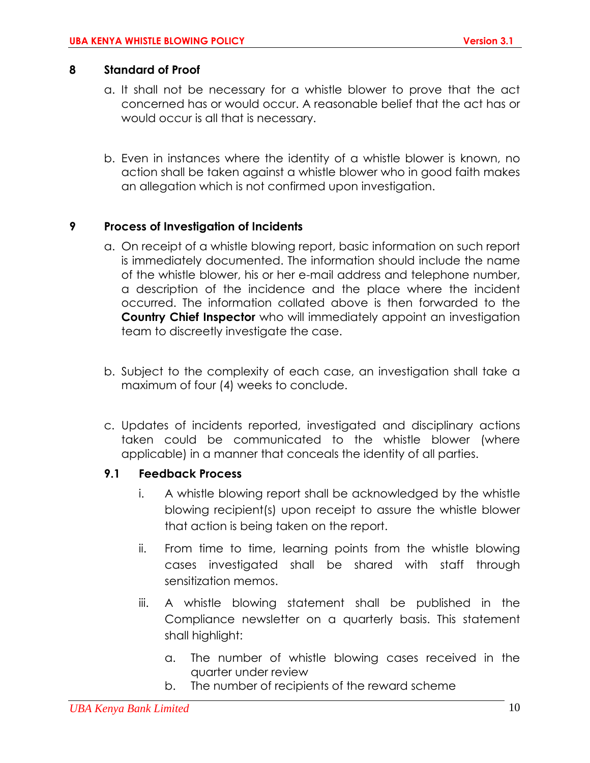## <span id="page-9-0"></span>**8 Standard of Proof**

- a. It shall not be necessary for a whistle blower to prove that the act concerned has or would occur. A reasonable belief that the act has or would occur is all that is necessary.
- b. Even in instances where the identity of a whistle blower is known, no action shall be taken against a whistle blower who in good faith makes an allegation which is not confirmed upon investigation.

## <span id="page-9-1"></span>**9 Process of Investigation of Incidents**

- a. On receipt of a whistle blowing report, basic information on such report is immediately documented. The information should include the name of the whistle blower, his or her e-mail address and telephone number, a description of the incidence and the place where the incident occurred. The information collated above is then forwarded to the **Country Chief Inspector** who will immediately appoint an investigation team to discreetly investigate the case.
- b. Subject to the complexity of each case, an investigation shall take a maximum of four (4) weeks to conclude.
- c. Updates of incidents reported, investigated and disciplinary actions taken could be communicated to the whistle blower (where applicable) in a manner that conceals the identity of all parties.

## **9.1 Feedback Process**

- i. A whistle blowing report shall be acknowledged by the whistle blowing recipient(s) upon receipt to assure the whistle blower that action is being taken on the report.
- ii. From time to time, learning points from the whistle blowing cases investigated shall be shared with staff through sensitization memos.
- iii. A whistle blowing statement shall be published in the Compliance newsletter on a quarterly basis. This statement shall highlight:
	- a. The number of whistle blowing cases received in the quarter under review
	- b. The number of recipients of the reward scheme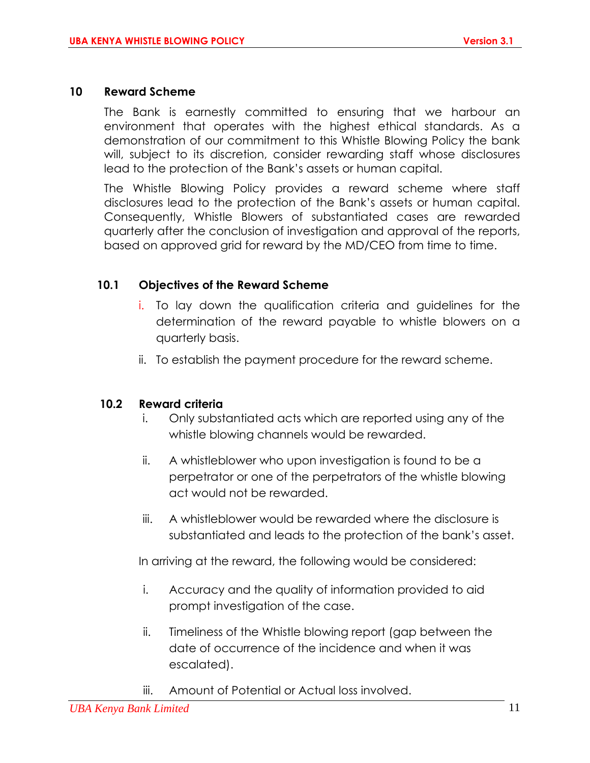#### <span id="page-10-0"></span>**10 Reward Scheme**

The Bank is earnestly committed to ensuring that we harbour an environment that operates with the highest ethical standards. As a demonstration of our commitment to this Whistle Blowing Policy the bank will, subject to its discretion, consider rewarding staff whose disclosures lead to the protection of the Bank's assets or human capital.

The Whistle Blowing Policy provides a reward scheme where staff disclosures lead to the protection of the Bank's assets or human capital. Consequently, Whistle Blowers of substantiated cases are rewarded quarterly after the conclusion of investigation and approval of the reports, based on approved grid for reward by the MD/CEO from time to time.

#### **10.1 Objectives of the Reward Scheme**

- i. To lay down the qualification criteria and guidelines for the determination of the reward payable to whistle blowers on a quarterly basis.
- ii. To establish the payment procedure for the reward scheme.

#### **10.2 Reward criteria**

- i. Only substantiated acts which are reported using any of the whistle blowing channels would be rewarded.
- ii. A whistleblower who upon investigation is found to be a perpetrator or one of the perpetrators of the whistle blowing act would not be rewarded.
- iii. A whistleblower would be rewarded where the disclosure is substantiated and leads to the protection of the bank's asset.

In arriving at the reward, the following would be considered:

- i. Accuracy and the quality of information provided to aid prompt investigation of the case.
- ii. Timeliness of the Whistle blowing report (gap between the date of occurrence of the incidence and when it was escalated).
- iii. Amount of Potential or Actual loss involved.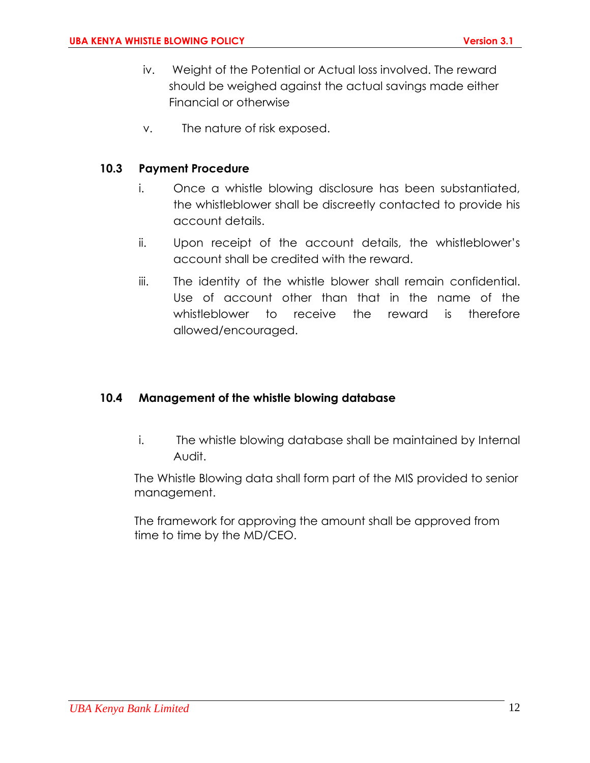- iv. Weight of the Potential or Actual loss involved. The reward should be weighed against the actual savings made either Financial or otherwise
- v. The nature of risk exposed.

## **10.3 Payment Procedure**

- i. Once a whistle blowing disclosure has been substantiated, the whistleblower shall be discreetly contacted to provide his account details.
- ii. Upon receipt of the account details, the whistleblower's account shall be credited with the reward.
- iii. The identity of the whistle blower shall remain confidential. Use of account other than that in the name of the whistleblower to receive the reward is therefore allowed/encouraged.

#### **10.4 Management of the whistle blowing database**

i. The whistle blowing database shall be maintained by Internal Audit.

The Whistle Blowing data shall form part of the MIS provided to senior management.

<span id="page-11-0"></span>The framework for approving the amount shall be approved from time to time by the MD/CEO.